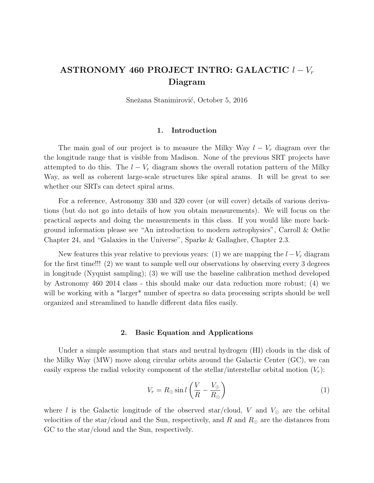# ASTRONOMY 460 PROJECT INTRO: GALACTIC  $l - V_r$ Diagram

Snežana Stanimirović, October 5, 2016

## 1. Introduction

The main goal of our project is to measure the Milky Way  $l - V_r$  diagram over the the longitude range that is visible from Madison. None of the previous SRT projects have attempted to do this. The  $l - V_r$  diagram shows the overall rotation pattern of the Milky Way, as well as coherent large-scale structures like spiral arams. It will be great to see whether our SRTs can detect spiral arms.

For a reference, Astronomy 330 and 320 cover (or will cover) details of various derivations (but do not go into details of how you obtain measurements). We will focus on the practical aspects and doing the measurements in this class. If you would like more background information please see "An introduction to modern astrophysics", Carroll & Ostlie Chapter 24, and "Galaxies in the Universe", Sparke & Gallagher, Chapter 2.3.

New features this year relative to previous years: (1) we are mapping the  $l-V_r$  diagram for the first time!!! (2) we want to sample well our observations by observing every 3 degrees in longitude (Nyquist sampling); (3) we will use the baseline calibration method developed by Astronomy 460 2014 class - this should make our data reduction more robust; (4) we will be working with a \*larger\* number of spectra so data processing scripts should be well organized and streamlined to handle different data files easily.

## 2. Basic Equation and Applications

Under a simple assumption that stars and neutral hydrogen (HI) clouds in the disk of the Milky Way (MW) move along circular orbits around the Galactic Center (GC), we can easily express the radial velocity component of the stellar/interstellar orbital motion  $(V_r)$ :

$$
V_r = R_{\odot} \sin l \left( \frac{V}{R} - \frac{V_{\odot}}{R_{\odot}} \right) \tag{1}
$$

where l is the Galactic longitude of the observed star/cloud, V and  $V_{\odot}$  are the orbital velocities of the star/cloud and the Sun, respectively, and R and  $R_{\odot}$  are the distances from GC to the star/cloud and the Sun, respectively.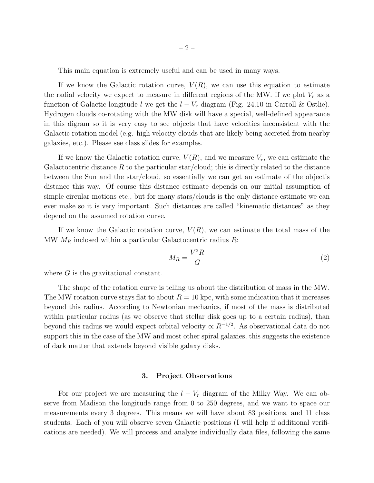This main equation is extremely useful and can be used in many ways.

If we know the Galactic rotation curve,  $V(R)$ , we can use this equation to estimate the radial velocity we expect to measure in different regions of the MW. If we plot  $V_r$  as a function of Galactic longitude l we get the  $l - V_r$  diagram (Fig. 24.10 in Carroll & Ostlie). Hydrogen clouds co-rotating with the MW disk will have a special, well-defined appearance in this digram so it is very easy to see objects that have velocities inconsistent with the Galactic rotation model (e.g. high velocity clouds that are likely being accreted from nearby galaxies, etc.). Please see class slides for examples.

If we know the Galactic rotation curve,  $V(R)$ , and we measure  $V_r$ , we can estimate the Galactocentric distance  $R$  to the particular star/cloud; this is directly related to the distance between the Sun and the star/cloud, so essentially we can get an estimate of the object's distance this way. Of course this distance estimate depends on our initial assumption of simple circular motions etc., but for many stars/clouds is the only distance estimate we can ever make so it is very important. Such distances are called "kinematic distances" as they depend on the assumed rotation curve.

If we know the Galactic rotation curve,  $V(R)$ , we can estimate the total mass of the MW  $M_R$  inclosed within a particular Galactocentric radius R:

$$
M_R = \frac{V^2 R}{G} \tag{2}
$$

where G is the gravitational constant.

The shape of the rotation curve is telling us about the distribution of mass in the MW. The MW rotation curve stays flat to about  $R = 10$  kpc, with some indication that it increases beyond this radius. According to Newtonian mechanics, if most of the mass is distributed within particular radius (as we observe that stellar disk goes up to a certain radius), than beyond this radius we would expect orbital velocity  $\propto R^{-1/2}$ . As observational data do not support this in the case of the MW and most other spiral galaxies, this suggests the existence of dark matter that extends beyond visible galaxy disks.

#### 3. Project Observations

For our project we are measuring the  $l - V_r$  diagram of the Milky Way. We can observe from Madison the longitude range from 0 to 250 degrees, and we want to space our measurements every 3 degrees. This means we will have about 83 positions, and 11 class students. Each of you will observe seven Galactic positions (I will help if additional verifications are needed). We will process and analyze individually data files, following the same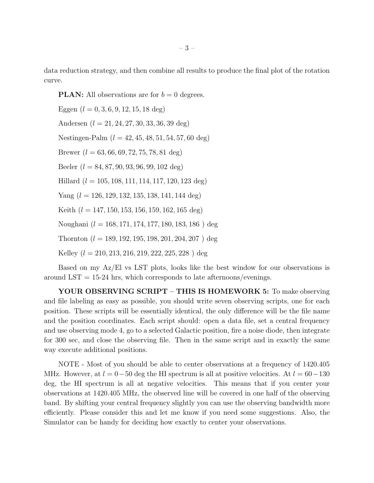data reduction strategy, and then combine all results to produce the final plot of the rotation curve.

**PLAN:** All observations are for  $b = 0$  degrees.

Eggen  $(l = 0, 3, 6, 9, 12, 15, 18 \text{ deg})$ Andersen  $(l = 21, 24, 27, 30, 33, 36, 39 \text{ deg})$ Nestingen-Palm  $(l = 42, 45, 48, 51, 54, 57, 60$  deg) Brewer  $(l = 63, 66, 69, 72, 75, 78, 81 \text{ deg})$ Beeler  $(l = 84, 87, 90, 93, 96, 99, 102 \text{ deg})$ Hillard  $(l = 105, 108, 111, 114, 117, 120, 123 \text{ deg})$ Yang  $(l = 126, 129, 132, 135, 138, 141, 144 \text{ deg})$ Keith  $(l = 147, 150, 153, 156, 159, 162, 165 \text{ deg})$ Noughani (l = 168, 171, 174, 177, 180, 183, 186 ) deg Thornton  $(l = 189, 192, 195, 198, 201, 204, 207)$  deg Kelley  $(l = 210, 213, 216, 219, 222, 225, 228)$  deg

Based on my Az/El vs LST plots, looks like the best window for our observations is around  $LST = 15-24$  hrs, which corresponds to late afternoons/evenings.

YOUR OBSERVING SCRIPT – THIS IS HOMEWORK 5: To make observing and file labeling as easy as possible, you should write seven observing scripts, one for each position. These scripts will be essentially identical, the only difference will be the file name and the position coordinates. Each script should: open a data file, set a central frequency and use observing mode 4, go to a selected Galactic position, fire a noise diode, then integrate for 300 sec, and close the observing file. Then in the same script and in exactly the same way execute additional positions.

NOTE - Most of you should be able to center observations at a frequency of 1420.405 MHz. However, at  $l = 0-50$  deg the HI spectrum is all at positive velocities. At  $l = 60-130$ deg, the HI spectrum is all at negative velocities. This means that if you center your observations at 1420.405 MHz, the observed line will be covered in one half of the observing band. By shifting your central frequency slightly you can use the observing bandwidth more efficiently. Please consider this and let me know if you need some suggestions. Also, the Simulator can be handy for deciding how exactly to center your observations.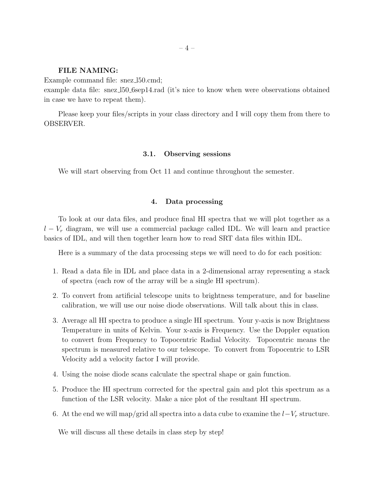## FILE NAMING:

Example command file: snez\_ $150$ .cmd;

example data file: snez l50 6sep14.rad (it's nice to know when were observations obtained in case we have to repeat them).

Please keep your files/scripts in your class directory and I will copy them from there to OBSERVER.

#### 3.1. Observing sessions

We will start observing from Oct 11 and continue throughout the semester.

#### 4. Data processing

To look at our data files, and produce final HI spectra that we will plot together as a  $l - V_r$  diagram, we will use a commercial package called IDL. We will learn and practice basics of IDL, and will then together learn how to read SRT data files within IDL.

Here is a summary of the data processing steps we will need to do for each position:

- 1. Read a data file in IDL and place data in a 2-dimensional array representing a stack of spectra (each row of the array will be a single HI spectrum).
- 2. To convert from artificial telescope units to brightness temperature, and for baseline calibration, we will use our noise diode observations. Will talk about this in class.
- 3. Average all HI spectra to produce a single HI spectrum. Your y-axis is now Brightness Temperature in units of Kelvin. Your x-axis is Frequency. Use the Doppler equation to convert from Frequency to Topocentric Radial Velocity. Topocentric means the spectrum is measured relative to our telescope. To convert from Topocentric to LSR Velocity add a velocity factor I will provide.
- 4. Using the noise diode scans calculate the spectral shape or gain function.
- 5. Produce the HI spectrum corrected for the spectral gain and plot this spectrum as a function of the LSR velocity. Make a nice plot of the resultant HI spectrum.
- 6. At the end we will map/grid all spectra into a data cube to examine the  $l-V_r$  structure.

We will discuss all these details in class step by step!